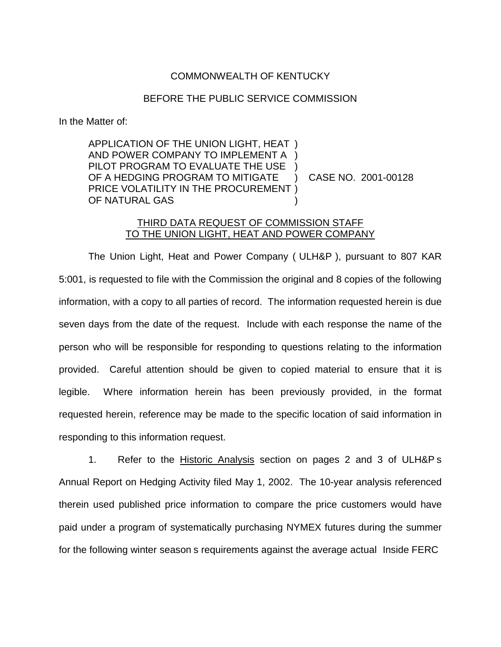## COMMONWEALTH OF KENTUCKY

## BEFORE THE PUBLIC SERVICE COMMISSION

In the Matter of:

APPLICATION OF THE UNION LIGHT, HEAT ) AND POWER COMPANY TO IMPLEMENT A ) PILOT PROGRAM TO EVALUATE THE USE ) OF A HEDGING PROGRAM TO MITIGATE ) CASE NO. 2001-00128 PRICE VOLATILITY IN THE PROCUREMENT ) OF NATURAL GAS

## THIRD DATA REQUEST OF COMMISSION STAFF TO THE UNION LIGHT, HEAT AND POWER COMPANY

The Union Light, Heat and Power Company ( ULH&P ), pursuant to 807 KAR 5:001, is requested to file with the Commission the original and 8 copies of the following information, with a copy to all parties of record. The information requested herein is due seven days from the date of the request. Include with each response the name of the person who will be responsible for responding to questions relating to the information provided. Careful attention should be given to copied material to ensure that it is legible. Where information herein has been previously provided, in the format requested herein, reference may be made to the specific location of said information in responding to this information request.

1. Refer to the Historic Analysis section on pages 2 and 3 of ULH&P s Annual Report on Hedging Activity filed May 1, 2002. The 10-year analysis referenced therein used published price information to compare the price customers would have paid under a program of systematically purchasing NYMEX futures during the summer for the following winter season s requirements against the average actual Inside FERC